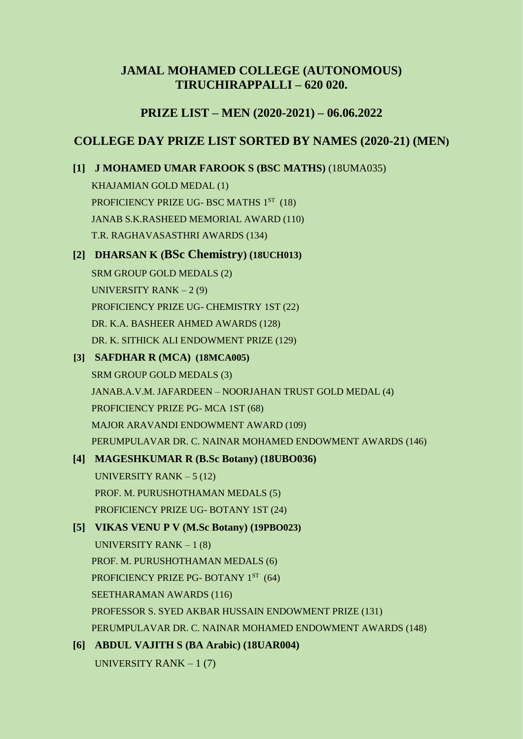# **JAMAL MOHAMED COLLEGE (AUTONOMOUS) TIRUCHIRAPPALLI – 620 020.**

# **PRIZE LIST – MEN (2020-2021) – 06.06.2022**

# **COLLEGE DAY PRIZE LIST SORTED BY NAMES (2020-21) (MEN)**

# **[1] J MOHAMED UMAR FAROOK S (BSC MATHS)** (18UMA035)

KHAJAMIAN GOLD MEDAL (1) PROFICIENCY PRIZE UG-BSC MATHS 1ST (18) JANAB S.K.RASHEED MEMORIAL AWARD (110) T.R. RAGHAVASASTHRI AWARDS (134)

# **[2] DHARSAN K (BSc Chemistry) (18UCH013)**

SRM GROUP GOLD MEDALS (2) UNIVERSITY RANK  $-2(9)$ PROFICIENCY PRIZE UG- CHEMISTRY 1ST (22) DR. K.A. BASHEER AHMED AWARDS (128) DR. K. SITHICK ALI ENDOWMENT PRIZE (129)

# **[3] SAFDHAR R (MCA) (18MCA005)**

SRM GROUP GOLD MEDALS (3) JANAB.A.V.M. JAFARDEEN – NOORJAHAN TRUST GOLD MEDAL (4) PROFICIENCY PRIZE PG- MCA 1ST (68) MAJOR ARAVANDI ENDOWMENT AWARD (109) PERUMPULAVAR DR. C. NAINAR MOHAMED ENDOWMENT AWARDS (146)

# **[4] MAGESHKUMAR R (B.Sc Botany) (18UBO036)**

UNIVERSITY RANK  $-5(12)$ PROF. M. PURUSHOTHAMAN MEDALS (5) PROFICIENCY PRIZE UG- BOTANY 1ST (24)

# **[5] VIKAS VENU P V (M.Sc Botany) (19PBO023)**

UNIVERSITY RANK  $-1(8)$ PROF. M. PURUSHOTHAMAN MEDALS (6) PROFICIENCY PRIZE PG- BOTANY 1ST (64) SEETHARAMAN AWARDS (116) PROFESSOR S. SYED AKBAR HUSSAIN ENDOWMENT PRIZE (131) PERUMPULAVAR DR. C. NAINAR MOHAMED ENDOWMENT AWARDS (148)

# **[6] ABDUL VAJITH S (BA Arabic) (18UAR004)** UNIVERSITY RANK  $-1(7)$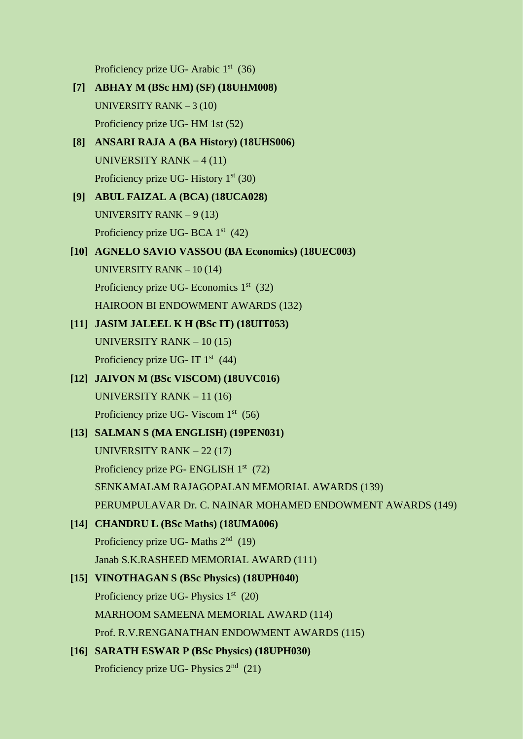Proficiency prize UG- Arabic 1<sup>st</sup> (36)

- **[7] ABHAY M (BSc HM) (SF) (18UHM008)** UNIVERSITY RANK – 3 (10) Proficiency prize UG- HM 1st (52)
- **[8] ANSARI RAJA A (BA History) (18UHS006)** UNIVERSITY RANK – 4 (11) Proficiency prize UG- History 1<sup>st</sup> (30)
- **[9] ABUL FAIZAL A (BCA) (18UCA028)** UNIVERSITY RANK  $-9(13)$ Proficiency prize UG- BCA 1<sup>st</sup> (42)
- **[10] AGNELO SAVIO VASSOU (BA Economics) (18UEC003)** UNIVERSITY RANK – 10 (14) Proficiency prize UG- Economics 1<sup>st</sup> (32) HAIROON BI ENDOWMENT AWARDS (132)
- **[11] JASIM JALEEL K H (BSc IT) (18UIT053)** UNIVERSITY RANK – 10 (15) Proficiency prize UG- IT 1<sup>st</sup> (44)
- **[12] JAIVON M (BSc VISCOM) (18UVC016)** UNIVERSITY RANK – 11 (16) Proficiency prize UG- Viscom  $1<sup>st</sup>$  (56)
- **[13] SALMAN S (MA ENGLISH) (19PEN031)** UNIVERSITY RANK – 22 (17) Proficiency prize PG- ENGLISH 1<sup>st</sup> (72) SENKAMALAM RAJAGOPALAN MEMORIAL AWARDS (139) PERUMPULAVAR Dr. C. NAINAR MOHAMED ENDOWMENT AWARDS (149)
- **[14] CHANDRU L (BSc Maths) (18UMA006)** Proficiency prize UG- Maths 2<sup>nd</sup> (19) Janab S.K.RASHEED MEMORIAL AWARD (111)
- **[15] VINOTHAGAN S (BSc Physics) (18UPH040)** Proficiency prize UG- Physics 1<sup>st</sup> (20) MARHOOM SAMEENA MEMORIAL AWARD (114) Prof. R.V.RENGANATHAN ENDOWMENT AWARDS (115)
- **[16] SARATH ESWAR P (BSc Physics) (18UPH030)** Proficiency prize UG- Physics  $2<sup>nd</sup>$  (21)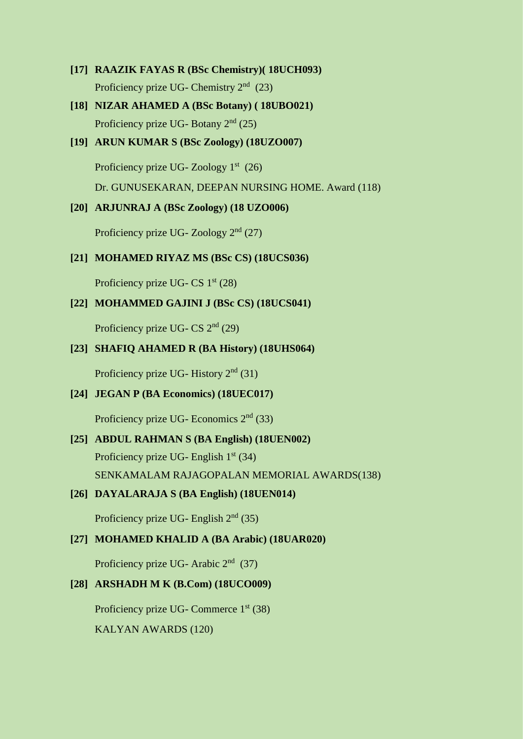- **[17] RAAZIK FAYAS R (BSc Chemistry)( 18UCH093)** Proficiency prize UG- Chemistry  $2<sup>nd</sup>$  (23)
- **[18] NIZAR AHAMED A (BSc Botany) ( 18UBO021)** Proficiency prize UG- Botany  $2<sup>nd</sup>$  (25)
- **[19] ARUN KUMAR S (BSc Zoology) (18UZO007)** Proficiency prize UG- Zoology  $1<sup>st</sup>$  (26) Dr. GUNUSEKARAN, DEEPAN NURSING HOME. Award (118)

### **[20] ARJUNRAJ A (BSc Zoology) (18 UZO006)**

Proficiency prize UG- Zoology  $2<sup>nd</sup>$  (27)

### **[21] MOHAMED RIYAZ MS (BSc CS) (18UCS036)**

Proficiency prize UG- CS  $1<sup>st</sup>$  (28)

### **[22] MOHAMMED GAJINI J (BSc CS) (18UCS041)**

Proficiency prize UG- CS  $2<sup>nd</sup>$  (29)

#### **[23] SHAFIQ AHAMED R (BA History) (18UHS064)**

Proficiency prize UG- History  $2<sup>nd</sup>$  (31)

### **[24] JEGAN P (BA Economics) (18UEC017)**

Proficiency prize UG- Economics 2nd (33)

**[25] ABDUL RAHMAN S (BA English) (18UEN002)** Proficiency prize UG- English  $1<sup>st</sup>$  (34) SENKAMALAM RAJAGOPALAN MEMORIAL AWARDS(138)

### **[26] DAYALARAJA S (BA English) (18UEN014)**

Proficiency prize UG- English  $2<sup>nd</sup>$  (35)

### **[27] MOHAMED KHALID A (BA Arabic) (18UAR020)**

Proficiency prize UG- Arabic 2<sup>nd</sup> (37)

# **[28] ARSHADH M K (B.Com) (18UCO009)**

Proficiency prize UG- Commerce 1<sup>st</sup> (38) KALYAN AWARDS (120)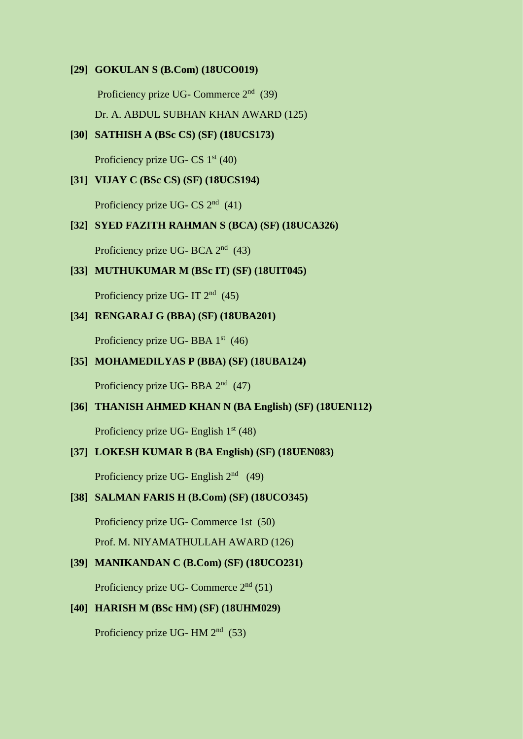#### **[29] GOKULAN S (B.Com) (18UCO019)**

Proficiency prize UG- Commerce 2<sup>nd</sup> (39) Dr. A. ABDUL SUBHAN KHAN AWARD (125)

#### **[30] SATHISH A (BSc CS) (SF) (18UCS173)**

Proficiency prize UG- CS  $1<sup>st</sup>$  (40)

## **[31] VIJAY C (BSc CS) (SF) (18UCS194)**

Proficiency prize UG- CS  $2<sup>nd</sup>$  (41)

# **[32] SYED FAZITH RAHMAN S (BCA) (SF) (18UCA326)**

Proficiency prize UG- BCA 2<sup>nd</sup> (43)

#### **[33] MUTHUKUMAR M (BSc IT) (SF) (18UIT045)**

Proficiency prize UG- IT  $2<sup>nd</sup>$  (45)

## **[34] RENGARAJ G (BBA) (SF) (18UBA201)**

Proficiency prize UG- BBA  $1<sup>st</sup>$  (46)

### **[35] MOHAMEDILYAS P (BBA) (SF) (18UBA124)**

Proficiency prize UG-BBA 2<sup>nd</sup> (47)

#### **[36] THANISH AHMED KHAN N (BA English) (SF) (18UEN112)**

Proficiency prize UG- English  $1<sup>st</sup>$  (48)

#### **[37] LOKESH KUMAR B (BA English) (SF) (18UEN083)**

Proficiency prize UG- English  $2<sup>nd</sup>$  (49)

#### **[38] SALMAN FARIS H (B.Com) (SF) (18UCO345)**

Proficiency prize UG- Commerce 1st (50)

Prof. M. NIYAMATHULLAH AWARD (126)

## **[39] MANIKANDAN C (B.Com) (SF) (18UCO231)**

Proficiency prize UG- Commerce  $2<sup>nd</sup>$  (51)

### **[40] HARISH M (BSc HM) (SF) (18UHM029)**

Proficiency prize UG- HM 2<sup>nd</sup> (53)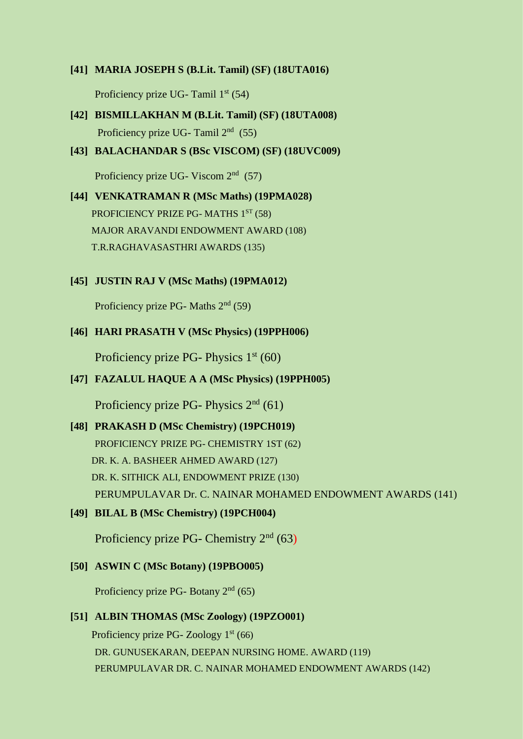#### **[41] MARIA JOSEPH S (B.Lit. Tamil) (SF) (18UTA016)**

Proficiency prize UG- Tamil 1<sup>st</sup> (54)

- **[42] BISMILLAKHAN M (B.Lit. Tamil) (SF) (18UTA008)** Proficiency prize UG- Tamil 2<sup>nd</sup> (55)
- **[43] BALACHANDAR S (BSc VISCOM) (SF) (18UVC009)**

Proficiency prize UG- Viscom  $2<sup>nd</sup>$  (57)

- **[44] VENKATRAMAN R (MSc Maths) (19PMA028)** PROFICIENCY PRIZE PG- MATHS 1ST (58) MAJOR ARAVANDI ENDOWMENT AWARD (108) T.R.RAGHAVASASTHRI AWARDS (135)
- **[45] JUSTIN RAJ V (MSc Maths) (19PMA012)**

Proficiency prize PG- Maths  $2<sup>nd</sup>$  (59)

**[46] HARI PRASATH V (MSc Physics) (19PPH006)**

Proficiency prize PG- Physics  $1<sup>st</sup>$  (60)

**[47] FAZALUL HAQUE A A (MSc Physics) (19PPH005)**

Proficiency prize PG- Physics  $2<sup>nd</sup>$  (61)

#### **[48] PRAKASH D (MSc Chemistry) (19PCH019)**

PROFICIENCY PRIZE PG- CHEMISTRY 1ST (62) DR. K. A. BASHEER AHMED AWARD (127) DR. K. SITHICK ALI, ENDOWMENT PRIZE (130) PERUMPULAVAR Dr. C. NAINAR MOHAMED ENDOWMENT AWARDS (141)

**[49] BILAL B (MSc Chemistry) (19PCH004)**

Proficiency prize PG- Chemistry  $2<sup>nd</sup>$  (63)

#### **[50] ASWIN C (MSc Botany) (19PBO005)**

Proficiency prize PG- Botany  $2<sup>nd</sup>$  (65)

#### **[51] ALBIN THOMAS (MSc Zoology) (19PZO001)**

Proficiency prize PG- Zoology  $1<sup>st</sup>$  (66) DR. GUNUSEKARAN, DEEPAN NURSING HOME. AWARD (119) PERUMPULAVAR DR. C. NAINAR MOHAMED ENDOWMENT AWARDS (142)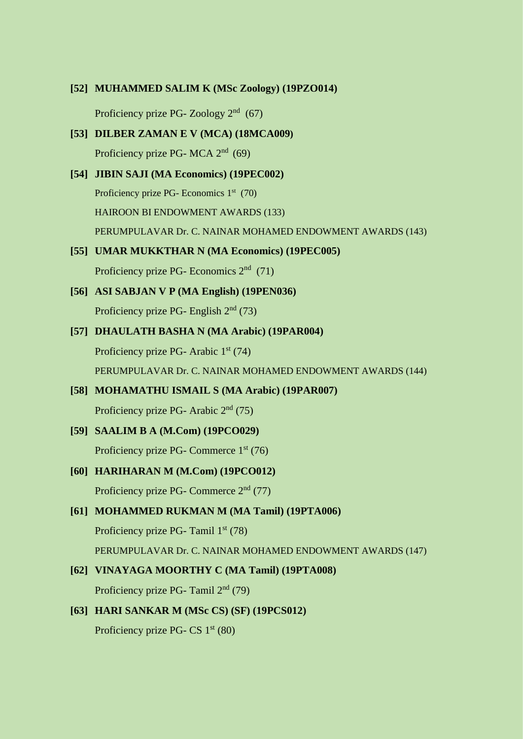#### **[52] MUHAMMED SALIM K (MSc Zoology) (19PZO014)**

Proficiency prize PG- Zoology 2<sup>nd</sup> (67)

- **[53] DILBER ZAMAN E V (MCA) (18MCA009)** Proficiency prize PG- MCA  $2<sup>nd</sup>$  (69)
- **[54] JIBIN SAJI (MA Economics) (19PEC002)** Proficiency prize PG- Economics 1<sup>st</sup> (70) HAIROON BI ENDOWMENT AWARDS (133) PERUMPULAVAR Dr. C. NAINAR MOHAMED ENDOWMENT AWARDS (143)

# **[55] UMAR MUKKTHAR N (MA Economics) (19PEC005)**

Proficiency prize PG- Economics 2nd (71)

- **[56] ASI SABJAN V P (MA English) (19PEN036)** Proficiency prize PG- English  $2<sup>nd</sup>$  (73)
- **[57] DHAULATH BASHA N (MA Arabic) (19PAR004)** Proficiency prize PG- Arabic  $1<sup>st</sup>$  (74) PERUMPULAVAR Dr. C. NAINAR MOHAMED ENDOWMENT AWARDS (144)
- **[58] MOHAMATHU ISMAIL S (MA Arabic) (19PAR007)** Proficiency prize PG- Arabic  $2<sup>nd</sup>$  (75)
- **[59] SAALIM B A (M.Com) (19PCO029)** Proficiency prize PG- Commerce 1<sup>st</sup> (76)
- **[60] HARIHARAN M (M.Com) (19PCO012)** Proficiency prize PG- Commerce  $2<sup>nd</sup>$  (77)

# **[61] MOHAMMED RUKMAN M (MA Tamil) (19PTA006)**

Proficiency prize PG- Tamil  $1<sup>st</sup>$  (78)

PERUMPULAVAR Dr. C. NAINAR MOHAMED ENDOWMENT AWARDS (147)

### **[62] VINAYAGA MOORTHY C (MA Tamil) (19PTA008)**

Proficiency prize PG- Tamil  $2<sup>nd</sup>$  (79)

### **[63] HARI SANKAR M (MSc CS) (SF) (19PCS012)**

Proficiency prize PG-  $CS 1<sup>st</sup> (80)$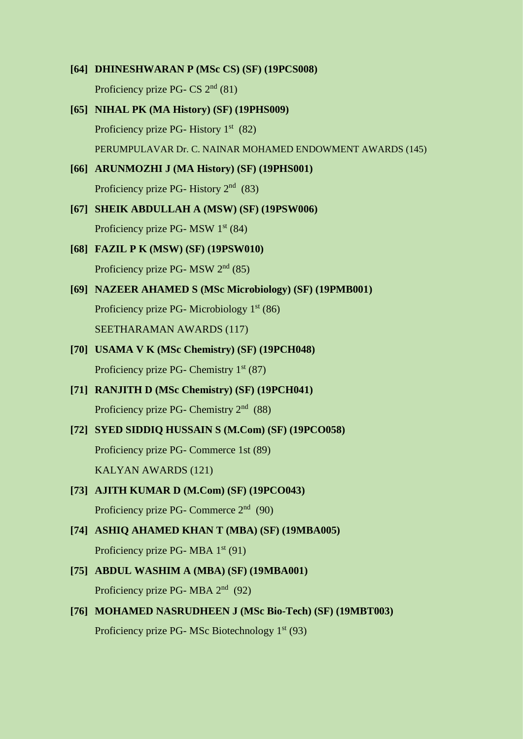- **[64] DHINESHWARAN P (MSc CS) (SF) (19PCS008)** Proficiency prize PG- CS  $2<sup>nd</sup>$  (81) **[65] NIHAL PK (MA History) (SF) (19PHS009)** Proficiency prize PG- History 1<sup>st</sup> (82) PERUMPULAVAR Dr. C. NAINAR MOHAMED ENDOWMENT AWARDS (145) **[66] ARUNMOZHI J (MA History) (SF) (19PHS001)** Proficiency prize PG- History 2<sup>nd</sup> (83)
- **[67] SHEIK ABDULLAH A (MSW) (SF) (19PSW006)** Proficiency prize PG- MSW  $1<sup>st</sup>$  (84)
- **[68] FAZIL P K (MSW) (SF) (19PSW010)** Proficiency prize PG- MSW  $2<sup>nd</sup>$  (85)
- **[69] NAZEER AHAMED S (MSc Microbiology) (SF) (19PMB001)** Proficiency prize PG- Microbiology 1<sup>st</sup> (86) SEETHARAMAN AWARDS (117)
- **[70] USAMA V K (MSc Chemistry) (SF) (19PCH048)** Proficiency prize PG- Chemistry  $1<sup>st</sup>$  (87)
- **[71] RANJITH D (MSc Chemistry) (SF) (19PCH041)** Proficiency prize PG- Chemistry 2<sup>nd</sup> (88)
- **[72] SYED SIDDIQ HUSSAIN S (M.Com) (SF) (19PCO058)** Proficiency prize PG- Commerce 1st (89) KALYAN AWARDS (121)
- **[73] AJITH KUMAR D (M.Com) (SF) (19PCO043)** Proficiency prize PG- Commerce 2<sup>nd</sup> (90)
- **[74] ASHIQ AHAMED KHAN T (MBA) (SF) (19MBA005)** Proficiency prize PG- MBA  $1<sup>st</sup>$  (91)
- **[75] ABDUL WASHIM A (MBA) (SF) (19MBA001)** Proficiency prize PG-MBA 2<sup>nd</sup> (92)
- **[76] MOHAMED NASRUDHEEN J (MSc Bio-Tech) (SF) (19MBT003)** Proficiency prize PG- MSc Biotechnology 1<sup>st</sup> (93)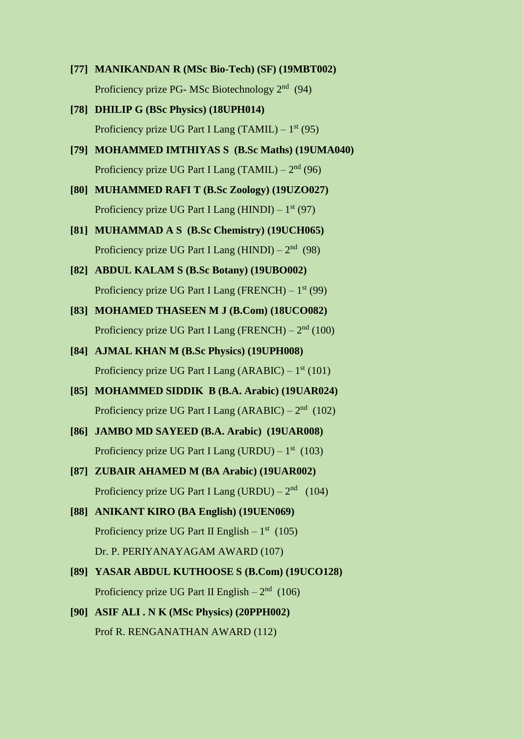- **[77] MANIKANDAN R (MSc Bio-Tech) (SF) (19MBT002)** Proficiency prize PG- MSc Biotechnology  $2<sup>nd</sup>$  (94) **[78] DHILIP G (BSc Physics) (18UPH014)** Proficiency prize UG Part I Lang (TAMIL)  $-1^{st}$  (95) **[79] MOHAMMED IMTHIYAS S (B.Sc Maths) (19UMA040)** Proficiency prize UG Part I Lang (TAMIL)  $-2<sup>nd</sup>$  (96) **[80] MUHAMMED RAFI T (B.Sc Zoology) (19UZO027)** Proficiency prize UG Part I Lang (HINDI)  $-1^{st}$  (97) **[81] MUHAMMAD A S (B.Sc Chemistry) (19UCH065)** Proficiency prize UG Part I Lang (HINDI) –  $2<sup>nd</sup>$  (98) **[82] ABDUL KALAM S (B.Sc Botany) (19UBO002)** Proficiency prize UG Part I Lang (FRENCH)  $-1^{st}$  (99) **[83] MOHAMED THASEEN M J (B.Com) (18UCO082)** Proficiency prize UG Part I Lang (FRENCH)  $-2<sup>nd</sup>$  (100) **[84] AJMAL KHAN M (B.Sc Physics) (19UPH008)**
- Proficiency prize UG Part I Lang  $(ARABIC) 1<sup>st</sup>$  (101)
- **[85] MOHAMMED SIDDIK B (B.A. Arabic) (19UAR024)** Proficiency prize UG Part I Lang  $(ARABIC) - 2<sup>nd</sup>$  (102)
- **[86] JAMBO MD SAYEED (B.A. Arabic) (19UAR008)** Proficiency prize UG Part I Lang (URDU)  $-1^{st}$  (103)
- **[87] ZUBAIR AHAMED M (BA Arabic) (19UAR002)** Proficiency prize UG Part I Lang (URDU) –  $2<sup>nd</sup>$  (104)
- **[88] ANIKANT KIRO (BA English) (19UEN069)** Proficiency prize UG Part II English  $-1<sup>st</sup>$  (105) Dr. P. PERIYANAYAGAM AWARD (107)
- **[89] YASAR ABDUL KUTHOOSE S (B.Com) (19UCO128)** Proficiency prize UG Part II English  $-2<sup>nd</sup>$  (106)
- **[90] ASIF ALI . N K (MSc Physics) (20PPH002)** Prof R. RENGANATHAN AWARD (112)